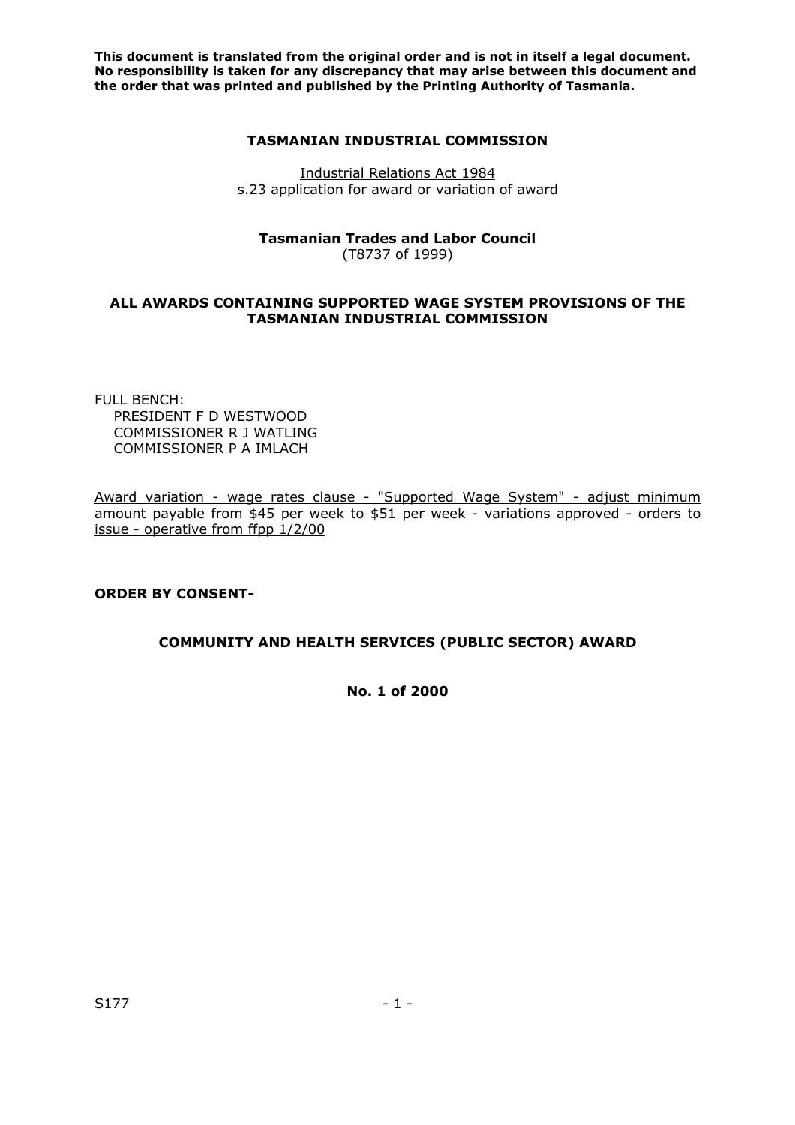**This document is translated from the original order and is not in itself a legal document. No responsibility is taken for any discrepancy that may arise between this document and the order that was printed and published by the Printing Authority of Tasmania.** 

#### **TASMANIAN INDUSTRIAL COMMISSION**

Industrial Relations Act 1984 s.23 application for award or variation of award

# **Tasmanian Trades and Labor Council**

(T8737 of 1999)

### **ALL AWARDS CONTAINING SUPPORTED WAGE SYSTEM PROVISIONS OF THE TASMANIAN INDUSTRIAL COMMISSION**

FULL BENCH: PRESIDENT F D WESTWOOD COMMISSIONER R J WATLING COMMISSIONER P A IMLACH

Award variation - wage rates clause - "Supported Wage System" - adjust minimum amount payable from \$45 per week to \$51 per week - variations approved - orders to issue - operative from ffpp 1/2/00

## **ORDER BY CONSENT-**

## **COMMUNITY AND HEALTH SERVICES (PUBLIC SECTOR) AWARD**

**No. 1 of 2000**